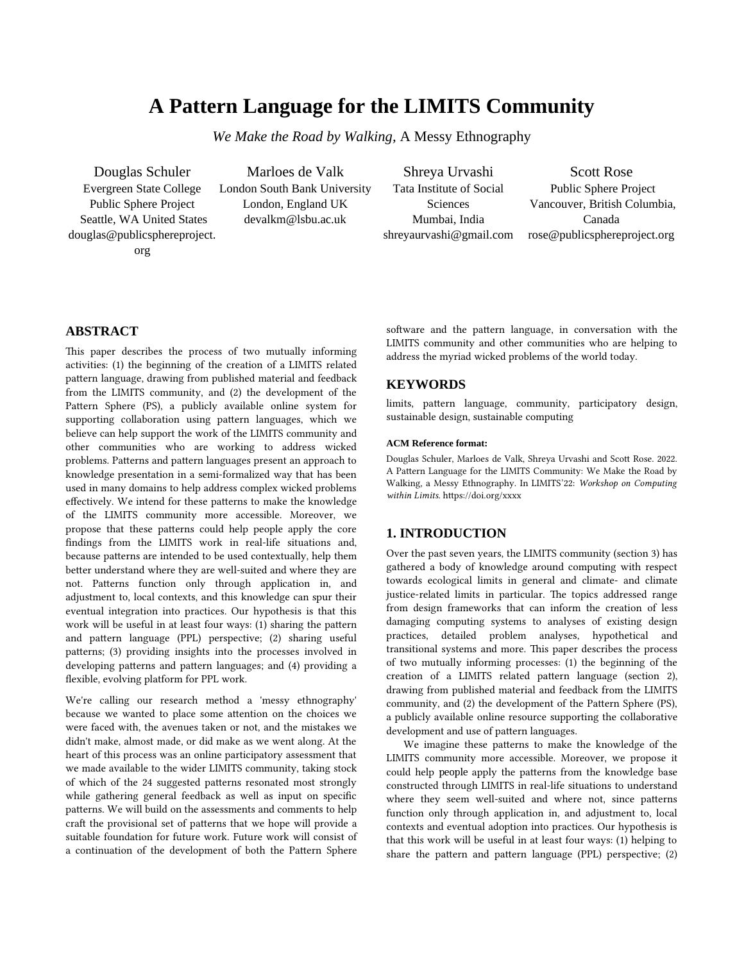# **A Pattern Language for the LIMITS Community**

*We Make the Road by Walking,* A Messy Ethnography

Douglas Schuler Evergreen State College Public Sphere Project Seattle, WA United States douglas@publicsphereproject. org

Marloes de Valk London South Bank University London, England UK devalkm@lsbu.ac.uk

Shreya Urvashi Tata Institute of Social **Sciences** Mumbai, India shreyaurvashi@gmail.com

Scott Rose Public Sphere Project Vancouver, British Columbia, Canada rose@publicsphereproject.org

# **ABSTRACT**

This paper describes the process of two mutually informing activities: (1) the beginning of the creation of a LIMITS related pattern language, drawing from published material and feedback from the LIMITS community, and (2) the development of the Pattern Sphere (PS), a publicly available online system for supporting collaboration using pattern languages, which we believe can help support the work of the LIMITS community and other communities who are working to address wicked problems. Patterns and pattern languages present an approach to knowledge presentation in a semi-formalized way that has been used in many domains to help address complex wicked problems effectively. We intend for these patterns to make the knowledge of the LIMITS community more accessible. Moreover, we propose that these patterns could help people apply the core findings from the LIMITS work in real-life situations and, because patterns are intended to be used contextually, help them better understand where they are well-suited and where they are not. Patterns function only through application in, and adjustment to, local contexts, and this knowledge can spur their eventual integration into practices. Our hypothesis is that this work will be useful in at least four ways: (1) sharing the pattern and pattern language (PPL) perspective; (2) sharing useful patterns; (3) providing insights into the processes involved in developing patterns and pattern languages; and (4) providing a flexible, evolving platform for PPL work.

We're calling our research method a 'messy ethnography' because we wanted to place some attention on the choices we were faced with, the avenues taken or not, and the mistakes we didn't make, almost made, or did make as we went along. At the heart of this process was an online participatory assessment that we made available to the wider LIMITS community, taking stock of which of the 24 suggested patterns resonated most strongly while gathering general feedback as well as input on specific patterns. We will build on the assessments and comments to help craft the provisional set of patterns that we hope will provide a suitable foundation for future work. Future work will consist of a continuation of the development of both the Pattern Sphere

software and the pattern language, in conversation with the LIMITS community and other communities who are helping to address the myriad wicked problems of the world today.

### **KEYWORDS**

limits, pattern language, community, participatory design, sustainable design, sustainable computing

#### **ACM Reference format:**

Douglas Schuler, Marloes de Valk, Shreya Urvashi and Scott Rose. 2022. A Pattern Language for the LIMITS Community: We Make the Road by Walking, a Messy Ethnography. In LIMITS'22: *Workshop on Computing within Limits*. https://doi.org/xxxx

# **1. INTRODUCTION**

Over the past seven years, the LIMITS community (section 3) has gathered a body of knowledge around computing with respect towards ecological limits in general and climate- and climate justice-related limits in particular. The topics addressed range from design frameworks that can inform the creation of less damaging computing systems to analyses of existing design practices, detailed problem analyses, hypothetical and transitional systems and more. This paper describes the process of two mutually informing processes: (1) the beginning of the creation of a LIMITS related pattern language (section 2), drawing from published material and feedback from the LIMITS community, and (2) the development of the Pattern Sphere (PS), a publicly available online resource supporting the collaborative development and use of pattern languages.

We imagine these patterns to make the knowledge of the LIMITS community more accessible. Moreover, we propose it could help people apply the patterns from the knowledge base constructed through LIMITS in real-life situations to understand where they seem well-suited and where not, since patterns function only through application in, and adjustment to, local contexts and eventual adoption into practices. Our hypothesis is that this work will be useful in at least four ways: (1) helping to share the pattern and pattern language (PPL) perspective; (2)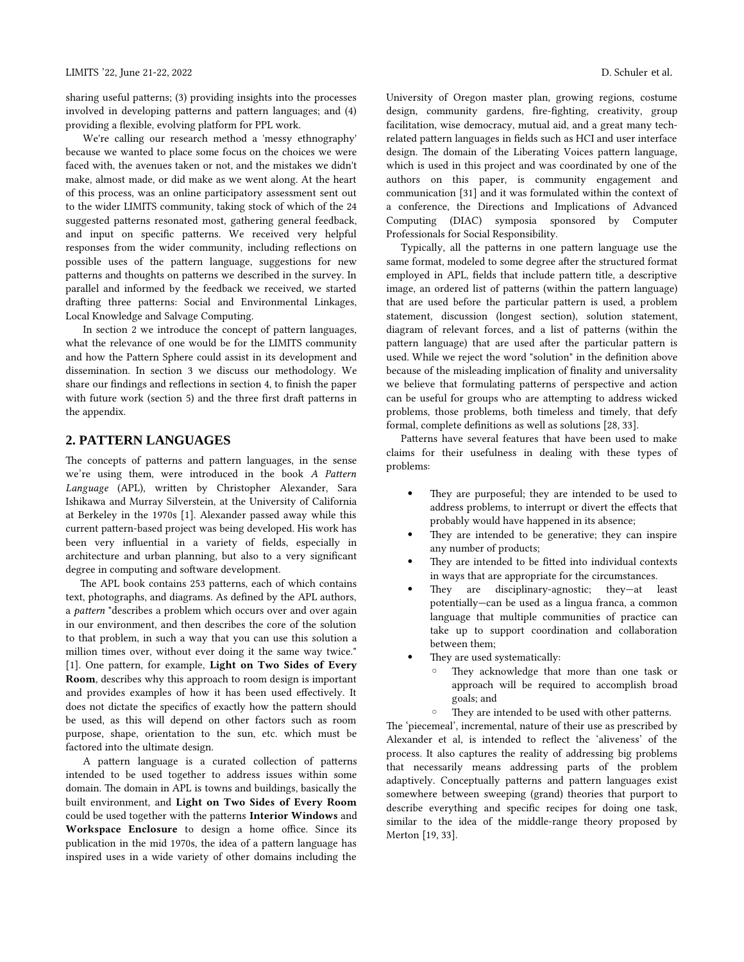sharing useful patterns; (3) providing insights into the processes involved in developing patterns and pattern languages; and (4) providing a flexible, evolving platform for PPL work.

We're calling our research method a 'messy ethnography' because we wanted to place some focus on the choices we were faced with, the avenues taken or not, and the mistakes we didn't make, almost made, or did make as we went along. At the heart of this process, was an online participatory assessment sent out to the wider LIMITS community, taking stock of which of the 24 suggested patterns resonated most, gathering general feedback, and input on specific patterns. We received very helpful responses from the wider community, including reflections on possible uses of the pattern language, suggestions for new patterns and thoughts on patterns we described in the survey. In parallel and informed by the feedback we received, we started drafting three patterns: Social and Environmental Linkages, Local Knowledge and Salvage Computing.

In section 2 we introduce the concept of pattern languages, what the relevance of one would be for the LIMITS community and how the Pattern Sphere could assist in its development and dissemination. In section 3 we discuss our methodology. We share our findings and reflections in section 4, to finish the paper with future work (section 5) and the three first draft patterns in the appendix.

# **2. PATTERN LANGUAGES**

The concepts of patterns and pattern languages, in the sense we're using them, were introduced in the book *A Pattern Language* (APL), written by Christopher Alexander, Sara Ishikawa and Murray Silverstein, at the University of California at Berkeley in the 1970s [1]. Alexander passed away while this current pattern-based project was being developed. His work has been very influential in a variety of fields, especially in architecture and urban planning, but also to a very significant degree in computing and software development.

The APL book contains 253 patterns, each of which contains text, photographs, and diagrams. As defined by the APL authors, a *pattern* "describes a problem which occurs over and over again in our environment, and then describes the core of the solution to that problem, in such a way that you can use this solution a million times over, without ever doing it the same way twice." [1]. One pattern, for example, **Light on Two Sides of Every Room**, describes why this approach to room design is important and provides examples of how it has been used effectively. It does not dictate the specifics of exactly how the pattern should be used, as this will depend on other factors such as room purpose, shape, orientation to the sun, etc. which must be factored into the ultimate design.

A pattern language is a curated collection of patterns intended to be used together to address issues within some domain. The domain in APL is towns and buildings, basically the built environment, and **Light on Two Sides of Every Room** could be used together with the patterns **Interior Windows** and **Workspace Enclosure** to design a home office. Since its publication in the mid 1970s, the idea of a pattern language has inspired uses in a wide variety of other domains including the University of Oregon master plan, growing regions, costume design, community gardens, fire-fighting, creativity, group facilitation, wise democracy, mutual aid, and a great many techrelated pattern languages in fields such as HCI and user interface design. The domain of the Liberating Voices pattern language, which is used in this project and was coordinated by one of the authors on this paper, is community engagement and communication [31] and it was formulated within the context of a conference, the Directions and Implications of Advanced Computing (DIAC) symposia sponsored by Computer Professionals for Social Responsibility.

Typically, all the patterns in one pattern language use the same format, modeled to some degree after the structured format employed in APL, fields that include pattern title, a descriptive image, an ordered list of patterns (within the pattern language) that are used before the particular pattern is used, a problem statement, discussion (longest section), solution statement, diagram of relevant forces, and a list of patterns (within the pattern language) that are used after the particular pattern is used. While we reject the word "solution" in the definition above because of the misleading implication of finality and universality we believe that formulating patterns of perspective and action can be useful for groups who are attempting to address wicked problems, those problems, both timeless and timely, that defy formal, complete definitions as well as solutions [28, 33].

Patterns have several features that have been used to make claims for their usefulness in dealing with these types of problems:

- They are purposeful; they are intended to be used to address problems, to interrupt or divert the effects that probably would have happened in its absence;
- They are intended to be generative; they can inspire any number of products;
- They are intended to be fitted into individual contexts in ways that are appropriate for the circumstances.
- They are disciplinary-agnostic; they—at least potentially—can be used as a lingua franca, a common language that multiple communities of practice can take up to support coordination and collaboration between them;
- They are used systematically:
	- They acknowledge that more than one task or approach will be required to accomplish broad goals; and
	- They are intended to be used with other patterns.

The 'piecemeal', incremental, nature of their use as prescribed by Alexander et al, is intended to reflect the 'aliveness' of the process. It also captures the reality of addressing big problems that necessarily means addressing parts of the problem adaptively. Conceptually patterns and pattern languages exist somewhere between sweeping (grand) theories that purport to describe everything and specific recipes for doing one task, similar to the idea of the middle-range theory proposed by Merton [19, 33].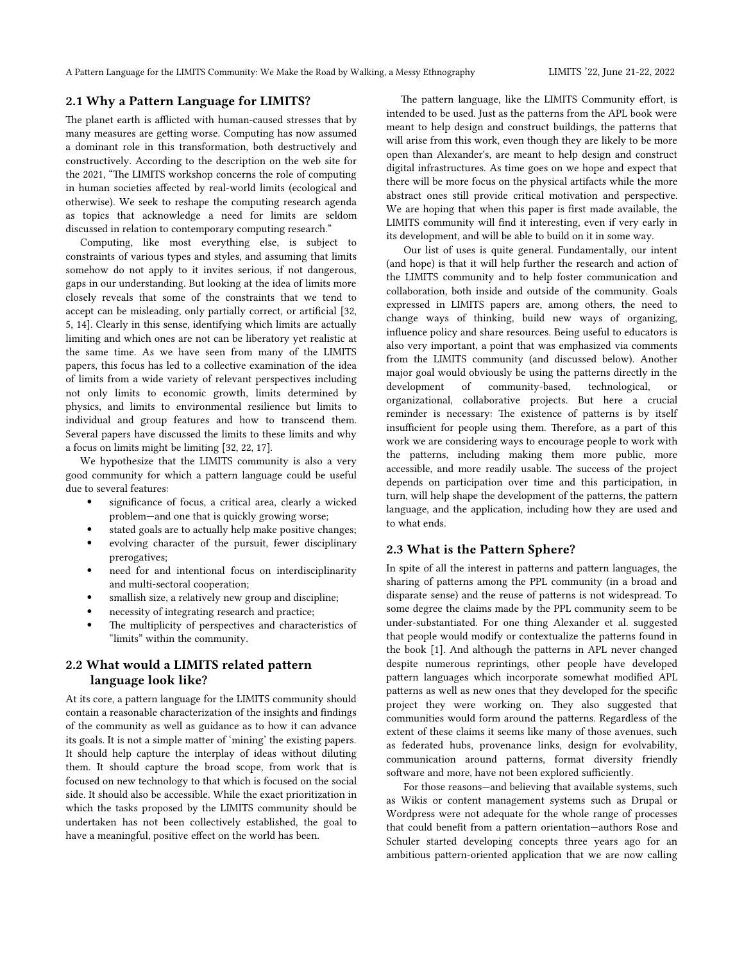### **2.1 Why a Pattern Language for LIMITS?**

The planet earth is afflicted with human-caused stresses that by many measures are getting worse. Computing has now assumed a dominant role in this transformation, both destructively and constructively. According to the description on the web site for the 2021, "The LIMITS workshop concerns the role of computing in human societies affected by real-world limits (ecological and otherwise). We seek to reshape the computing research agenda as topics that acknowledge a need for limits are seldom discussed in relation to contemporary computing research."

Computing, like most everything else, is subject to constraints of various types and styles, and assuming that limits somehow do not apply to it invites serious, if not dangerous, gaps in our understanding. But looking at the idea of limits more closely reveals that some of the constraints that we tend to accept can be misleading, only partially correct, or artificial [32, 5, 14]. Clearly in this sense, identifying which limits are actually limiting and which ones are not can be liberatory yet realistic at the same time. As we have seen from many of the LIMITS papers, this focus has led to a collective examination of the idea of limits from a wide variety of relevant perspectives including not only limits to economic growth, limits determined by physics, and limits to environmental resilience but limits to individual and group features and how to transcend them. Several papers have discussed the limits to these limits and why a focus on limits might be limiting [32, 22, 17].

We hypothesize that the LIMITS community is also a very good community for which a pattern language could be useful due to several features:

- significance of focus, a critical area, clearly a wicked problem—and one that is quickly growing worse;
- stated goals are to actually help make positive changes;
- evolving character of the pursuit, fewer disciplinary prerogatives;
- need for and intentional focus on interdisciplinarity and multi-sectoral cooperation;
- smallish size, a relatively new group and discipline;
- necessity of integrating research and practice;
- The multiplicity of perspectives and characteristics of "limits" within the community.

### **2.2 What would a LIMITS related pattern language look like?**

At its core, a pattern language for the LIMITS community should contain a reasonable characterization of the insights and findings of the community as well as guidance as to how it can advance its goals. It is not a simple matter of 'mining' the existing papers. It should help capture the interplay of ideas without diluting them. It should capture the broad scope, from work that is focused on new technology to that which is focused on the social side. It should also be accessible. While the exact prioritization in which the tasks proposed by the LIMITS community should be undertaken has not been collectively established, the goal to have a meaningful, positive effect on the world has been.

The pattern language, like the LIMITS Community effort, is intended to be used. Just as the patterns from the APL book were meant to help design and construct buildings, the patterns that will arise from this work, even though they are likely to be more open than Alexander's, are meant to help design and construct digital infrastructures. As time goes on we hope and expect that there will be more focus on the physical artifacts while the more abstract ones still provide critical motivation and perspective. We are hoping that when this paper is first made available, the LIMITS community will find it interesting, even if very early in its development, and will be able to build on it in some way.

Our list of uses is quite general. Fundamentally, our intent (and hope) is that it will help further the research and action of the LIMITS community and to help foster communication and collaboration, both inside and outside of the community. Goals expressed in LIMITS papers are, among others, the need to change ways of thinking, build new ways of organizing, influence policy and share resources. Being useful to educators is also very important, a point that was emphasized via comments from the LIMITS community (and discussed below). Another major goal would obviously be using the patterns directly in the development of community-based, technological, or organizational, collaborative projects. But here a crucial reminder is necessary: The existence of patterns is by itself insufficient for people using them. Therefore, as a part of this work we are considering ways to encourage people to work with the patterns, including making them more public, more accessible, and more readily usable. The success of the project depends on participation over time and this participation, in turn, will help shape the development of the patterns, the pattern language, and the application, including how they are used and to what ends.

### **2.3 What is the Pattern Sphere?**

In spite of all the interest in patterns and pattern languages, the sharing of patterns among the PPL community (in a broad and disparate sense) and the reuse of patterns is not widespread. To some degree the claims made by the PPL community seem to be under-substantiated. For one thing Alexander et al. suggested that people would modify or contextualize the patterns found in the book [1]. And although the patterns in APL never changed despite numerous reprintings, other people have developed pattern languages which incorporate somewhat modified APL patterns as well as new ones that they developed for the specific project they were working on. They also suggested that communities would form around the patterns. Regardless of the extent of these claims it seems like many of those avenues, such as federated hubs, provenance links, design for evolvability, communication around patterns, format diversity friendly software and more, have not been explored sufficiently.

For those reasons—and believing that available systems, such as Wikis or content management systems such as Drupal or Wordpress were not adequate for the whole range of processes that could benefit from a pattern orientation—authors Rose and Schuler started developing concepts three years ago for an ambitious pattern-oriented application that we are now calling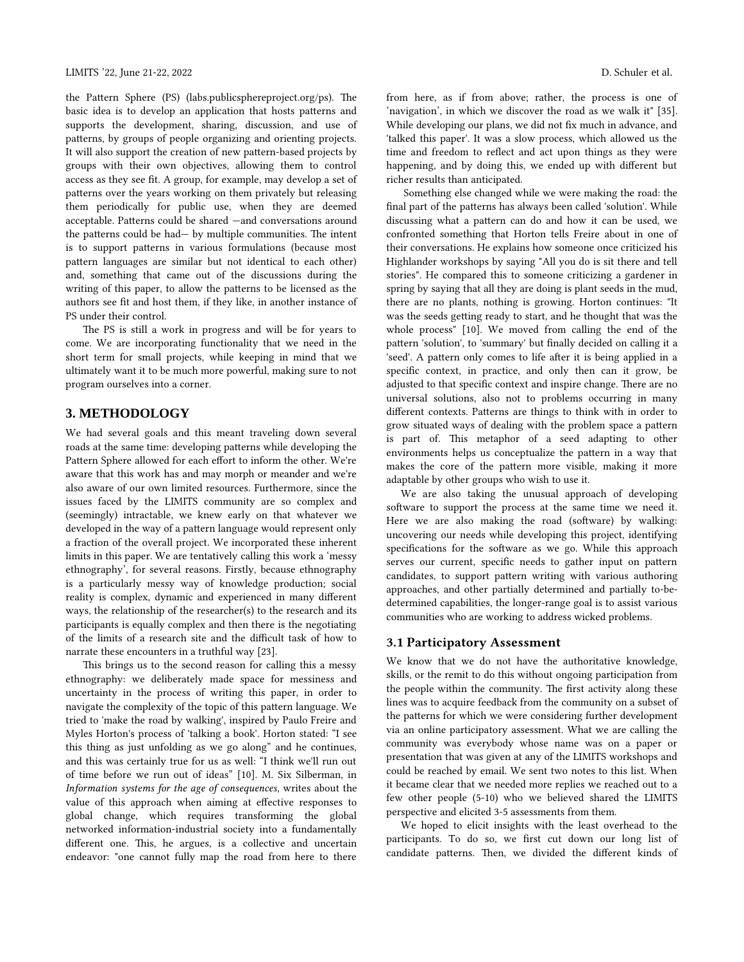the Pattern Sphere (PS) (labs.publicsphereproject.org/ps). The basic idea is to develop an application that hosts patterns and supports the development, sharing, discussion, and use of patterns, by groups of people organizing and orienting projects. It will also support the creation of new pattern-based projects by groups with their own objectives, allowing them to control access as they see fit. A group, for example, may develop a set of patterns over the years working on them privately but releasing them periodically for public use, when they are deemed acceptable. Patterns could be shared —and conversations around the patterns could be had— by multiple communities. The intent is to support patterns in various formulations (because most pattern languages are similar but not identical to each other) and, something that came out of the discussions during the writing of this paper, to allow the patterns to be licensed as the authors see fit and host them, if they like, in another instance of PS under their control.

The PS is still a work in progress and will be for years to come. We are incorporating functionality that we need in the short term for small projects, while keeping in mind that we ultimately want it to be much more powerful, making sure to not program ourselves into a corner.

# **3. METHODOLOGY**

We had several goals and this meant traveling down several roads at the same time: developing patterns while developing the Pattern Sphere allowed for each effort to inform the other. We're aware that this work has and may morph or meander and we're also aware of our own limited resources. Furthermore, since the issues faced by the LIMITS community are so complex and (seemingly) intractable, we knew early on that whatever we developed in the way of a pattern language would represent only a fraction of the overall project. We incorporated these inherent limits in this paper. We are tentatively calling this work a 'messy ethnography', for several reasons. Firstly, because ethnography is a particularly messy way of knowledge production; social reality is complex, dynamic and experienced in many different ways, the relationship of the researcher(s) to the research and its participants is equally complex and then there is the negotiating of the limits of a research site and the difficult task of how to narrate these encounters in a truthful way [23].

This brings us to the second reason for calling this a messy ethnography: we deliberately made space for messiness and uncertainty in the process of writing this paper, in order to navigate the complexity of the topic of this pattern language. We tried to 'make the road by walking', inspired by Paulo Freire and Myles Horton's process of 'talking a book'. Horton stated: "I see this thing as just unfolding as we go along" and he continues, and this was certainly true for us as well: "I think we'll run out of time before we run out of ideas" [10]. M. Six Silberman, in *Information systems for the age of consequences*, writes about the value of this approach when aiming at effective responses to global change, which requires transforming the global networked information-industrial society into a fundamentally different one. This, he argues, is a collective and uncertain endeavor: "one cannot fully map the road from here to there from here, as if from above; rather, the process is one of 'navigation', in which we discover the road as we walk it" [35]. While developing our plans, we did not fix much in advance, and 'talked this paper'. It was a slow process, which allowed us the time and freedom to reflect and act upon things as they were happening, and by doing this, we ended up with different but richer results than anticipated.

Something else changed while we were making the road: the final part of the patterns has always been called 'solution'. While discussing what a pattern can do and how it can be used, we confronted something that Horton tells Freire about in one of their conversations. He explains how someone once criticized his Highlander workshops by saying "All you do is sit there and tell stories". He compared this to someone criticizing a gardener in spring by saying that all they are doing is plant seeds in the mud, there are no plants, nothing is growing. Horton continues: "It was the seeds getting ready to start, and he thought that was the whole process" [10]. We moved from calling the end of the pattern 'solution', to 'summary' but finally decided on calling it a 'seed'. A pattern only comes to life after it is being applied in a specific context, in practice, and only then can it grow, be adjusted to that specific context and inspire change. There are no universal solutions, also not to problems occurring in many different contexts. Patterns are things to think with in order to grow situated ways of dealing with the problem space a pattern is part of. This metaphor of a seed adapting to other environments helps us conceptualize the pattern in a way that makes the core of the pattern more visible, making it more adaptable by other groups who wish to use it.

We are also taking the unusual approach of developing software to support the process at the same time we need it. Here we are also making the road (software) by walking: uncovering our needs while developing this project, identifying specifications for the software as we go. While this approach serves our current, specific needs to gather input on pattern candidates, to support pattern writing with various authoring approaches, and other partially determined and partially to-bedetermined capabilities, the longer-range goal is to assist various communities who are working to address wicked problems.

### **3.1 Participatory Assessment**

We know that we do not have the authoritative knowledge, skills, or the remit to do this without ongoing participation from the people within the community. The first activity along these lines was to acquire feedback from the community on a subset of the patterns for which we were considering further development via an online participatory assessment. What we are calling the community was everybody whose name was on a paper or presentation that was given at any of the LIMITS workshops and could be reached by email. We sent two notes to this list. When it became clear that we needed more replies we reached out to a few other people (5-10) who we believed shared the LIMITS perspective and elicited 3-5 assessments from them.

We hoped to elicit insights with the least overhead to the participants. To do so, we first cut down our long list of candidate patterns. Then, we divided the different kinds of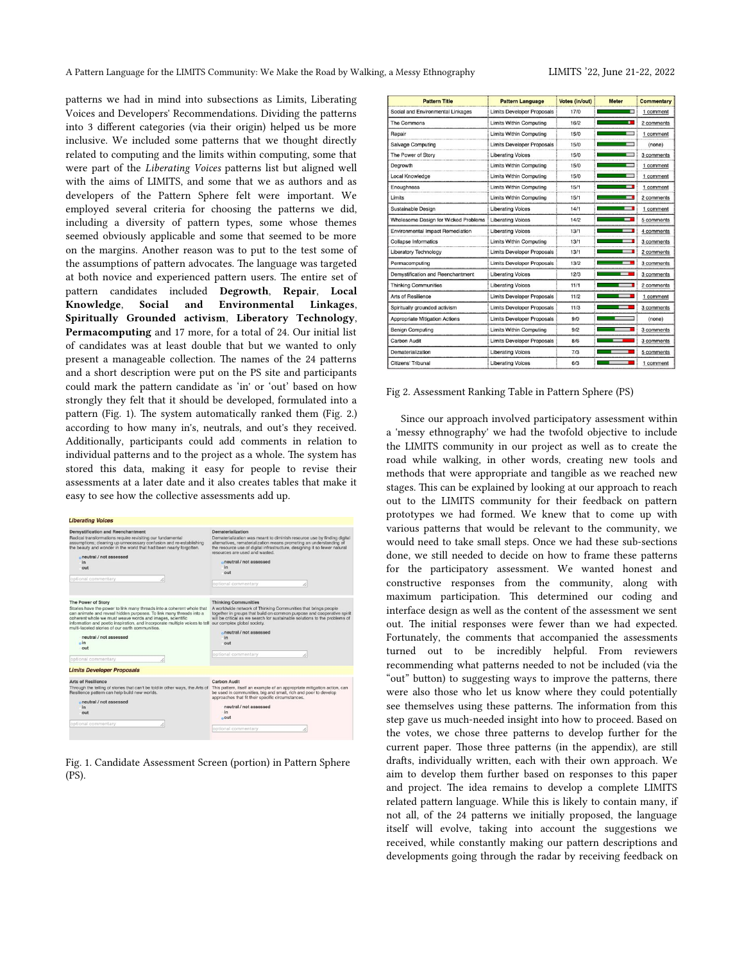patterns we had in mind into subsections as Limits, Liberating Voices and Developers' Recommendations. Dividing the patterns into 3 different categories (via their origin) helped us be more inclusive. We included some patterns that we thought directly related to computing and the limits within computing, some that were part of the *Liberating Voices* patterns list but aligned well with the aims of LIMITS, and some that we as authors and as developers of the Pattern Sphere felt were important. We employed several criteria for choosing the patterns we did, including a diversity of pattern types, some whose themes seemed obviously applicable and some that seemed to be more on the margins. Another reason was to put to the test some of the assumptions of pattern advocates. The language was targeted at both novice and experienced pattern users. The entire set of pattern candidates included **Degrowth**, **Repair**, **Local Knowledge**, **Social and Environmental Linkages**, **Spiritually Grounded activism**, **Liberatory Technology**, **Permacomputing** and 17 more, for a total of 24. Our initial list of candidates was at least double that but we wanted to only present a manageable collection. The names of the 24 patterns and a short description were put on the PS site and participants could mark the pattern candidate as 'in' or 'out' based on how strongly they felt that it should be developed, formulated into a pattern (Fig. 1). The system automatically ranked them (Fig. 2.) according to how many in's, neutrals, and out's they received. Additionally, participants could add comments in relation to individual patterns and to the project as a whole. The system has stored this data, making it easy for people to revise their assessments at a later date and it also creates tables that make it easy to see how the collective assessments add up.

| Dematerialization                                                                                                                                                                                                                                                                                                                                                                                                               |  |  |
|---------------------------------------------------------------------------------------------------------------------------------------------------------------------------------------------------------------------------------------------------------------------------------------------------------------------------------------------------------------------------------------------------------------------------------|--|--|
| Dematerialization was meant to diminish resource use by finding digital<br>alternatives, rematerialization means promoting an understanding of<br>the resource use of digital infrastructure, designing it so fewer natural<br>resources are used and wasted.<br>oneutral / not assessed<br>in<br>out<br>optional commentary                                                                                                    |  |  |
| <b>Thinking Communities</b><br>A worldwide network of Thinking Communities that brings people<br>together in groups that build on common purpose and cooperative spirit<br>will be critical as we search for sustainable solutions to the problems of<br>information and poetic inspiration, and incorporate multiple voices to tell our complex global society.<br>oneutral / not assessed<br>in<br>out<br>optional commentary |  |  |
|                                                                                                                                                                                                                                                                                                                                                                                                                                 |  |  |
| <b>Carbon Audit</b>                                                                                                                                                                                                                                                                                                                                                                                                             |  |  |
| This pattern, itself an example of an appropriate mitigation action, can<br>Through the telling of stories that can't be told in other ways, the Arts of<br>be used in communities, big and small, rich and poor to develop<br>approaches that fit their specific circumstances.<br>neutral / not assessed<br>in<br>$o$ out                                                                                                     |  |  |
|                                                                                                                                                                                                                                                                                                                                                                                                                                 |  |  |

Fig. 1. Candidate Assessment Screen (portion) in Pattern Sphere (PS).

|      | <b>Pattern Language</b>           | Votes (in/out) | <b>Meter</b> | <b>Commentary</b> |
|------|-----------------------------------|----------------|--------------|-------------------|
| ages | <b>Limits Developer Proposals</b> | 17/0           |              | 1 comment         |
|      | <b>Limits Within Computing</b>    | 16/2           | ٠            | 2 comments        |
|      | <b>Limits Within Computing</b>    | 15/0           |              | comment           |
|      | <b>Limits Developer Proposals</b> | 15/0           |              | (none)            |
|      | <b>Liberating Voices</b>          | 15/0           |              | 3 comments        |
|      | <b>Limits Within Computing</b>    | 15/0           |              | 1 comment         |
|      | <b>Limits Within Computing</b>    | 15/0           |              | 1 comment         |

| Repair                                      | <b>Limits Within Computing</b>    | 15/0 | 1 comment  |
|---------------------------------------------|-----------------------------------|------|------------|
| <b>Salvage Computing</b>                    | <b>Limits Developer Proposals</b> | 15/0 | (none)     |
| The Power of Story                          | <b>Liberating Voices</b>          | 15/0 | 3 comments |
| Dearowth                                    | Limits Within Computing           | 15/0 | 1 comment  |
| Local Knowledge                             | <b>Limits Within Computing</b>    | 15/0 | 1 comment  |
| Enoughness                                  | Limits Within Computing           | 15/1 | 1 comment  |
| Limits                                      | <b>Limits Within Computing</b>    | 15/1 | 2 comments |
| Sustainable Design                          | <b>Liberating Voices</b>          | 14/1 | 1 comment  |
| <b>Wholesome Design for Wicked Problems</b> | <b>Liberating Voices</b>          | 14/2 | 5 comments |
| <b>Environmental Impact Remediation</b>     | <b>Liberating Voices</b>          | 13/1 | 4 comments |
| <b>Collapse Informatics</b>                 | Limits Within Computing           | 13/1 | 3 comments |
| <b>Liberatory Technology</b>                | <b>Limits Developer Proposals</b> | 13/1 | 2 comments |
| Permacomputing                              | <b>Limits Developer Proposals</b> | 13/2 | 3 comments |
| Demystification and Reenchantment           | <b>Liberating Voices</b>          | 12/3 | 3 comments |
| <b>Thinking Communities</b>                 | <b>Liberating Voices</b>          | 11/1 | 2 comments |
| Arts of Resilience                          | <b>Limits Developer Proposals</b> | 11/2 | 1 comment  |
| Spiritually grounded activism               | <b>Limits Developer Proposals</b> | 11/3 | 3 comments |
| Appropriate Mitigation Actions              | <b>Limits Developer Proposals</b> | 9/0  | (none)     |
| <b>Benign Computing</b>                     | <b>Limits Within Computing</b>    | 9/2  | 3 comments |
| Carbon Audit                                | <b>Limits Developer Proposals</b> | 8/6  | 3 comments |
| Dematerialization                           | <b>Liberating Voices</b>          | 7/3  | 5 comments |
| Citizens' Tribunal                          | <b>Liberating Voices</b>          | 6/3  | 1 comment  |

**Pattern Title** Social and Environmental Lin The Commons

#### Fig 2. Assessment Ranking Table in Pattern Sphere (PS)

Since our approach involved participatory assessment within a 'messy ethnography' we had the twofold objective to include the LIMITS community in our project as well as to create the road while walking, in other words, creating new tools and methods that were appropriate and tangible as we reached new stages. This can be explained by looking at our approach to reach out to the LIMITS community for their feedback on pattern prototypes we had formed. We knew that to come up with various patterns that would be relevant to the community, we would need to take small steps. Once we had these sub-sections done, we still needed to decide on how to frame these patterns for the participatory assessment. We wanted honest and constructive responses from the community, along with maximum participation. This determined our coding and interface design as well as the content of the assessment we sent out. The initial responses were fewer than we had expected. Fortunately, the comments that accompanied the assessments turned out to be incredibly helpful. From reviewers recommending what patterns needed to not be included (via the "out" button) to suggesting ways to improve the patterns, there were also those who let us know where they could potentially see themselves using these patterns. The information from this step gave us much-needed insight into how to proceed. Based on the votes, we chose three patterns to develop further for the current paper. Those three patterns (in the appendix), are still drafts, individually written, each with their own approach. We aim to develop them further based on responses to this paper and project. The idea remains to develop a complete LIMITS related pattern language. While this is likely to contain many, if not all, of the 24 patterns we initially proposed, the language itself will evolve, taking into account the suggestions we received, while constantly making our pattern descriptions and developments going through the radar by receiving feedback on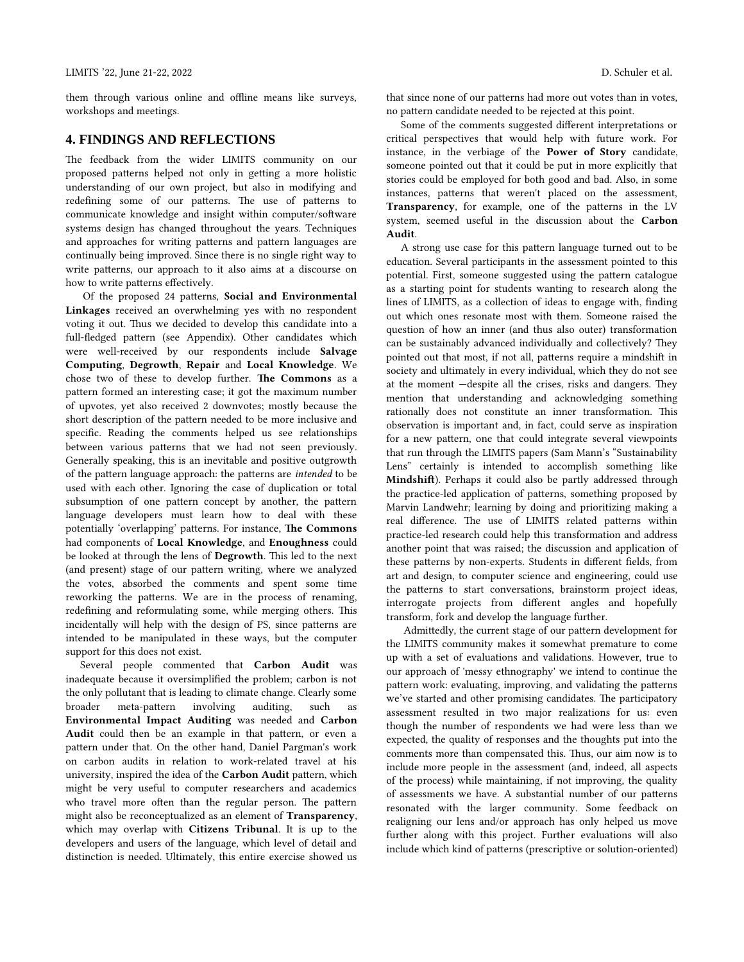them through various online and offline means like surveys, workshops and meetings.

# **4. FINDINGS AND REFLECTIONS**

The feedback from the wider LIMITS community on our proposed patterns helped not only in getting a more holistic understanding of our own project, but also in modifying and redefining some of our patterns. The use of patterns to communicate knowledge and insight within computer/software systems design has changed throughout the years. Techniques and approaches for writing patterns and pattern languages are continually being improved. Since there is no single right way to write patterns, our approach to it also aims at a discourse on how to write patterns effectively.

Of the proposed 24 patterns, **Social and Environmental Linkages** received an overwhelming yes with no respondent voting it out. Thus we decided to develop this candidate into a full-fledged pattern (see Appendix). Other candidates which were well-received by our respondents include **Salvage Computing**, **Degrowth**, **Repair** and **Local Knowledge**. We chose two of these to develop further. **The Commons** as a pattern formed an interesting case; it got the maximum number of upvotes, yet also received 2 downvotes; mostly because the short description of the pattern needed to be more inclusive and specific. Reading the comments helped us see relationships between various patterns that we had not seen previously. Generally speaking, this is an inevitable and positive outgrowth of the pattern language approach: the patterns are *intended* to be used with each other. Ignoring the case of duplication or total subsumption of one pattern concept by another, the pattern language developers must learn how to deal with these potentially 'overlapping' patterns. For instance, **The Commons** had components of **Local Knowledge**, and **Enoughness** could be looked at through the lens of **Degrowth**. This led to the next (and present) stage of our pattern writing, where we analyzed the votes, absorbed the comments and spent some time reworking the patterns. We are in the process of renaming, redefining and reformulating some, while merging others. This incidentally will help with the design of PS, since patterns are intended to be manipulated in these ways, but the computer support for this does not exist.

Several people commented that **Carbon Audit** was inadequate because it oversimplified the problem; carbon is not the only pollutant that is leading to climate change. Clearly some broader meta-pattern involving auditing, such as **Environmental Impact Auditing** was needed and **Carbon Audit** could then be an example in that pattern, or even a pattern under that. On the other hand, Daniel Pargman's work on carbon audits in relation to work-related travel at his university, inspired the idea of the **Carbon Audit** pattern, which might be very useful to computer researchers and academics who travel more often than the regular person. The pattern might also be reconceptualized as an element of **Transparency**, which may overlap with **Citizens Tribunal**. It is up to the developers and users of the language, which level of detail and distinction is needed. Ultimately, this entire exercise showed us

that since none of our patterns had more out votes than in votes, no pattern candidate needed to be rejected at this point.

Some of the comments suggested different interpretations or critical perspectives that would help with future work. For instance, in the verbiage of the **Power of Story** candidate, someone pointed out that it could be put in more explicitly that stories could be employed for both good and bad. Also, in some instances, patterns that weren't placed on the assessment, **Transparency**, for example, one of the patterns in the LV system, seemed useful in the discussion about the **Carbon Audit**.

A strong use case for this pattern language turned out to be education. Several participants in the assessment pointed to this potential. First, someone suggested using the pattern catalogue as a starting point for students wanting to research along the lines of LIMITS, as a collection of ideas to engage with, finding out which ones resonate most with them. Someone raised the question of how an inner (and thus also outer) transformation can be sustainably advanced individually and collectively? They pointed out that most, if not all, patterns require a mindshift in society and ultimately in every individual, which they do not see at the moment —despite all the crises, risks and dangers. They mention that understanding and acknowledging something rationally does not constitute an inner transformation. This observation is important and, in fact, could serve as inspiration for a new pattern, one that could integrate several viewpoints that run through the LIMITS papers (Sam Mann's "Sustainability Lens" certainly is intended to accomplish something like **Mindshift**). Perhaps it could also be partly addressed through the practice-led application of patterns, something proposed by Marvin Landwehr; learning by doing and prioritizing making a real difference. The use of LIMITS related patterns within practice-led research could help this transformation and address another point that was raised; the discussion and application of these patterns by non-experts. Students in different fields, from art and design, to computer science and engineering, could use the patterns to start conversations, brainstorm project ideas, interrogate projects from different angles and hopefully transform, fork and develop the language further.

Admittedly, the current stage of our pattern development for the LIMITS community makes it somewhat premature to come up with a set of evaluations and validations. However, true to our approach of 'messy ethnography' we intend to continue the pattern work: evaluating, improving, and validating the patterns we've started and other promising candidates. The participatory assessment resulted in two major realizations for us: even though the number of respondents we had were less than we expected, the quality of responses and the thoughts put into the comments more than compensated this. Thus, our aim now is to include more people in the assessment (and, indeed, all aspects of the process) while maintaining, if not improving, the quality of assessments we have. A substantial number of our patterns resonated with the larger community. Some feedback on realigning our lens and/or approach has only helped us move further along with this project. Further evaluations will also include which kind of patterns (prescriptive or solution-oriented)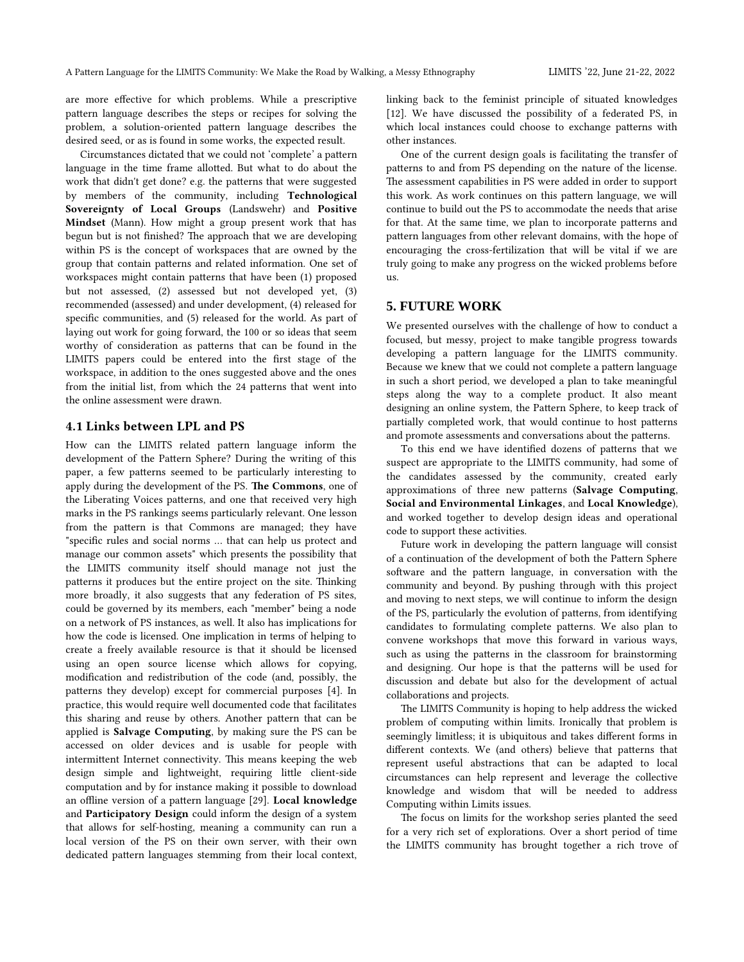are more effective for which problems. While a prescriptive pattern language describes the steps or recipes for solving the problem, a solution-oriented pattern language describes the desired seed, or as is found in some works, the expected result.

Circumstances dictated that we could not 'complete' a pattern language in the time frame allotted. But what to do about the work that didn't get done? e.g. the patterns that were suggested by members of the community, including **Technological Sovereignty of Local Groups** (Landswehr) and **Positive Mindset** (Mann). How might a group present work that has begun but is not finished? The approach that we are developing within PS is the concept of workspaces that are owned by the group that contain patterns and related information. One set of workspaces might contain patterns that have been (1) proposed but not assessed, (2) assessed but not developed yet, (3) recommended (assessed) and under development, (4) released for specific communities, and (5) released for the world. As part of laying out work for going forward, the 100 or so ideas that seem worthy of consideration as patterns that can be found in the LIMITS papers could be entered into the first stage of the workspace, in addition to the ones suggested above and the ones from the initial list, from which the 24 patterns that went into the online assessment were drawn.

# **4.1 Links between LPL and PS**

How can the LIMITS related pattern language inform the development of the Pattern Sphere? During the writing of this paper, a few patterns seemed to be particularly interesting to apply during the development of the PS. **The Commons**, one of the Liberating Voices patterns, and one that received very high marks in the PS rankings seems particularly relevant. One lesson from the pattern is that Commons are managed; they have "specific rules and social norms … that can help us protect and manage our common assets" which presents the possibility that the LIMITS community itself should manage not just the patterns it produces but the entire project on the site. Thinking more broadly, it also suggests that any federation of PS sites, could be governed by its members, each "member" being a node on a network of PS instances, as well. It also has implications for how the code is licensed. One implication in terms of helping to create a freely available resource is that it should be licensed using an open source license which allows for copying, modification and redistribution of the code (and, possibly, the patterns they develop) except for commercial purposes [4]. In practice, this would require well documented code that facilitates this sharing and reuse by others. Another pattern that can be applied is **Salvage Computing**, by making sure the PS can be accessed on older devices and is usable for people with intermittent Internet connectivity. This means keeping the web design simple and lightweight, requiring little client-side computation and by for instance making it possible to download an offline version of a pattern language [29]. **Local knowledge** and **Participatory Design** could inform the design of a system that allows for self-hosting, meaning a community can run a local version of the PS on their own server, with their own dedicated pattern languages stemming from their local context,

linking back to the feminist principle of situated knowledges [12]. We have discussed the possibility of a federated PS, in which local instances could choose to exchange patterns with other instances.

One of the current design goals is facilitating the transfer of patterns to and from PS depending on the nature of the license. The assessment capabilities in PS were added in order to support this work. As work continues on this pattern language, we will continue to build out the PS to accommodate the needs that arise for that. At the same time, we plan to incorporate patterns and pattern languages from other relevant domains, with the hope of encouraging the cross-fertilization that will be vital if we are truly going to make any progress on the wicked problems before us.

# **5. FUTURE WORK**

We presented ourselves with the challenge of how to conduct a focused, but messy, project to make tangible progress towards developing a pattern language for the LIMITS community. Because we knew that we could not complete a pattern language in such a short period, we developed a plan to take meaningful steps along the way to a complete product. It also meant designing an online system, the Pattern Sphere, to keep track of partially completed work, that would continue to host patterns and promote assessments and conversations about the patterns.

To this end we have identified dozens of patterns that we suspect are appropriate to the LIMITS community, had some of the candidates assessed by the community, created early approximations of three new patterns (**Salvage Computing**, **Social and Environmental Linkages**, and **Local Knowledge**), and worked together to develop design ideas and operational code to support these activities.

Future work in developing the pattern language will consist of a continuation of the development of both the Pattern Sphere software and the pattern language, in conversation with the community and beyond. By pushing through with this project and moving to next steps, we will continue to inform the design of the PS, particularly the evolution of patterns, from identifying candidates to formulating complete patterns. We also plan to convene workshops that move this forward in various ways, such as using the patterns in the classroom for brainstorming and designing. Our hope is that the patterns will be used for discussion and debate but also for the development of actual collaborations and projects.

The LIMITS Community is hoping to help address the wicked problem of computing within limits. Ironically that problem is seemingly limitless; it is ubiquitous and takes different forms in different contexts. We (and others) believe that patterns that represent useful abstractions that can be adapted to local circumstances can help represent and leverage the collective knowledge and wisdom that will be needed to address Computing within Limits issues.

The focus on limits for the workshop series planted the seed for a very rich set of explorations. Over a short period of time the LIMITS community has brought together a rich trove of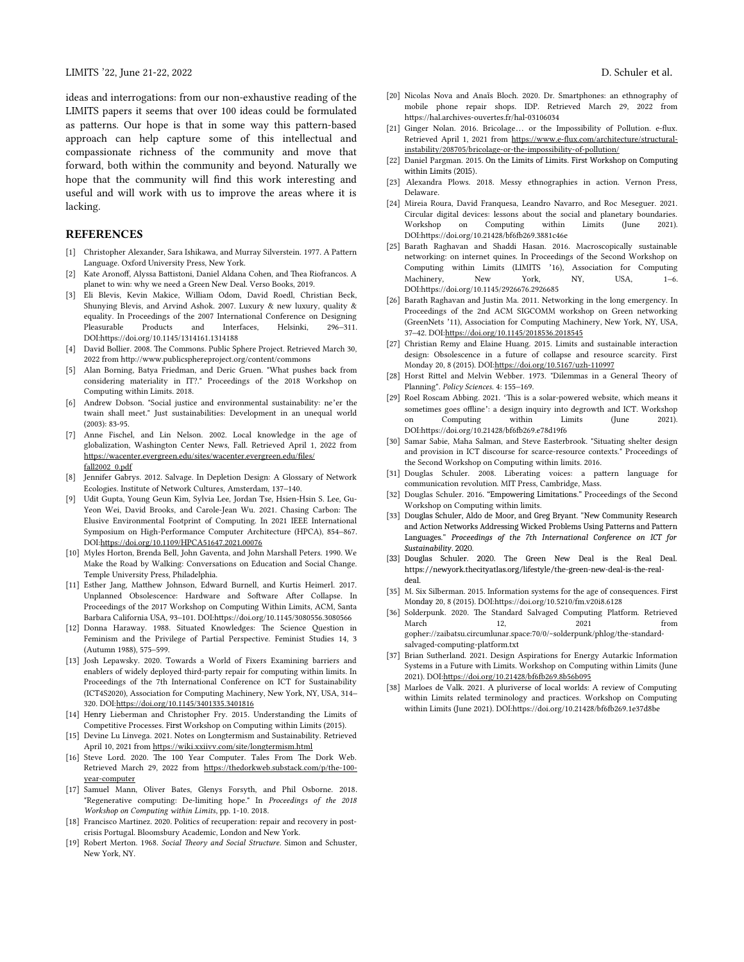ideas and interrogations: from our non-exhaustive reading of the LIMITS papers it seems that over 100 ideas could be formulated as patterns. Our hope is that in some way this pattern-based approach can help capture some of this intellectual and compassionate richness of the community and move that forward, both within the community and beyond. Naturally we hope that the community will find this work interesting and useful and will work with us to improve the areas where it is lacking.

### **REFERENCES**

- [1] Christopher Alexander, Sara Ishikawa, and Murray Silverstein. 1977. A Pattern Language. Oxford University Press, New York.
- [2] Kate Aronoff, Alyssa Battistoni, Daniel Aldana Cohen, and Thea Riofrancos. A planet to win: why we need a Green New Deal. Verso Books, 2019.
- [3] Eli Blevis, Kevin Makice, William Odom, David Roedl, Christian Beck, Shunying Blevis, and Arvind Ashok. 2007. Luxury & new luxury, quality & equality. In Proceedings of the 2007 International Conference on Designing Pleasurable Products and Interfaces, Helsinki, 296–311. DOI:https://doi.org/10.1145/1314161.1314188
- [4] David Bollier. 2008. The Commons. Public Sphere Project. Retrieved March 30, 2022 from http://www.publicsphereproject.org/content/commons
- [5] Alan Borning, Batya Friedman, and Deric Gruen. "What pushes back from considering materiality in IT?." Proceedings of the 2018 Workshop on Computing within Limits. 2018.
- [6] Andrew Dobson. "Social justice and environmental sustainability: ne'er the twain shall meet." Just sustainabilities: Development in an unequal world (2003): 83-95.
- [7] Anne Fischel, and Lin Nelson. 2002. Local knowledge in the age of globalization, Washington Center News, Fall. Retrieved April 1, 2022 from https://wacenter.evergreen.edu/sites/wacenter.evergreen.edu/files/ fall2002\_0.pdf
- [8] Jennifer Gabrys. 2012. Salvage. In Depletion Design: A Glossary of Network Ecologies. Institute of Network Cultures, Amsterdam, 137–140.
- [9] Udit Gupta, Young Geun Kim, Sylvia Lee, Jordan Tse, Hsien-Hsin S. Lee, Gu-Yeon Wei, David Brooks, and Carole-Jean Wu. 2021. Chasing Carbon: The Elusive Environmental Footprint of Computing. In 2021 IEEE International Symposium on High-Performance Computer Architecture (HPCA), 854–867. DOI:https://doi.org/10.1109/HPCA51647.2021.00076
- [10] Myles Horton, Brenda Bell, John Gaventa, and John Marshall Peters. 1990. We Make the Road by Walking: Conversations on Education and Social Change. Temple University Press, Philadelphia.
- [11] Esther Jang, Matthew Johnson, Edward Burnell, and Kurtis Heimerl. 2017. Unplanned Obsolescence: Hardware and Software After Collapse. In Proceedings of the 2017 Workshop on Computing Within Limits, ACM, Santa Barbara California USA, 93–101. DOI:https://doi.org/10.1145/3080556.3080566
- [12] Donna Haraway. 1988. Situated Knowledges: The Science Question in Feminism and the Privilege of Partial Perspective. Feminist Studies 14, 3 (Autumn 1988), 575–599.
- [13] Josh Lepawsky. 2020. Towards a World of Fixers Examining barriers and enablers of widely deployed third-party repair for computing within limits. In Proceedings of the 7th International Conference on ICT for Sustainability (ICT4S2020), Association for Computing Machinery, New York, NY, USA, 314– 320. DOI:https://doi.org/10.1145/3401335.3401816
- [14] Henry Lieberman and Christopher Fry. 2015. Understanding the Limits of Competitive Processes. First Workshop on Computing within Limits (2015).
- [15] Devine Lu Linvega. 2021. Notes on Longtermism and Sustainability. Retrieved April 10, 2021 from https://wiki.xxiivv.com/site/longtermism.html
- [16] Steve Lord. 2020. The 100 Year Computer. Tales From The Dork Web. Retrieved March 29, 2022 from https://thedorkweb.substack.com/p/the-100 year-computer
- [17] Samuel Mann, Oliver Bates, Glenys Forsyth, and Phil Osborne. 2018. "Regenerative computing: De-limiting hope." In *Proceedings of the 2018 Workshop on Computing within Limits*, pp. 1-10. 2018.
- [18] Francisco Martinez. 2020. Politics of recuperation: repair and recovery in postcrisis Portugal. Bloomsbury Academic, London and New York.
- [19] Robert Merton. 1968. *Social Theory and Social Structure*. Simon and Schuster, New York, NY.
- [20] Nicolas Nova and Anaïs Bloch. 2020. Dr. Smartphones: an ethnography of mobile phone repair shops. IDP. Retrieved March 29, 2022 from https://hal.archives-ouvertes.fr/hal-03106034
- [21] Ginger Nolan. 2016. Bricolage… or the Impossibility of Pollution. e-flux. Retrieved April 1, 2021 from https://www.e-flux.com/architecture/structuralinstability/208705/bricolage-or-the-impossibility-of-pollution/
- [22] Daniel Pargman. 2015. On the Limits of Limits. First Workshop on Computing within Limits (2015).
- [23] Alexandra Plows. 2018. Messy ethnographies in action. Vernon Press, Delaware.
- [24] Mireia Roura, David Franquesa, Leandro Navarro, and Roc Meseguer. 2021. Circular digital devices: lessons about the social and planetary boundaries. Workshop on Computing within Limits (June 2021). DOI:https://doi.org/10.21428/bf6fb269.3881c46e
- [25] Barath Raghavan and Shaddi Hasan. 2016. Macroscopically sustainable networking: on internet quines. In Proceedings of the Second Workshop on Computing within Limits (LIMITS '16), Association for Computing Machinery, New York, NY, USA, 1–6. DOI:https://doi.org/10.1145/2926676.2926685
- [26] Barath Raghavan and Justin Ma. 2011. Networking in the long emergency. In Proceedings of the 2nd ACM SIGCOMM workshop on Green networking (GreenNets '11), Association for Computing Machinery, New York, NY, USA, 37–42. DOI:https://doi.org/10.1145/2018536.2018545
- [27] Christian Remy and Elaine Huang. 2015. Limits and sustainable interaction design: Obsolescence in a future of collapse and resource scarcity. First Monday 20, 8 (2015). DOI:https://doi.org/10.5167/uzh-110997
- [28] Horst Rittel and Melvin Webber. 1973. "Dilemmas in a General Theory of Planning". *Policy Sciences*. 4: 155–169.
- [29] Roel Roscam Abbing. 2021. 'This is a solar-powered website, which means it sometimes goes offline': a design inquiry into degrowth and ICT. Workshop on Computing within Limits (June 2021). DOI:https://doi.org/10.21428/bf6fb269.e78d19f6
- [30] Samar Sabie, Maha Salman, and Steve Easterbrook. "Situating shelter design and provision in ICT discourse for scarce-resource contexts." Proceedings of the Second Workshop on Computing within limits. 2016.
- [31] Douglas Schuler. 2008. Liberating voices: a pattern language for communication revolution. MIT Press, Cambridge, Mass.
- [32] Douglas Schuler. 2016. "Empowering Limitations." Proceedings of the Second Workshop on Computing within limits.
- [33] Douglas Schuler, Aldo de Moor, and Greg Bryant. "New Community Research and Action Networks Addressing Wicked Problems Using Patterns and PatternLanguages." *Proceedings of the 7th International Conference on ICT for Sustainability*. 2020.
- [33] Douglas Schuler. 2020. The Green New Deal is the Real Deal. https://newyork.thecityatlas.org/lifestyle/the-green-new-deal-is-the-realdeal.
- [35] M. Six Silberman. 2015. Information systems for the age of consequences. First Monday 20, 8 (2015). DOI:https://doi.org/10.5210/fm.v20i8.6128
- [36] Solderpunk. 2020. The Standard Salvaged Computing Platform. Retrieved March 12, 2021 from gopher://zaibatsu.circumlunar.space:70/0/~solderpunk/phlog/the-standardsalvaged-computing-platform.txt
- [37] Brian Sutherland. 2021. Design Aspirations for Energy Autarkic Information Systems in a Future with Limits. Workshop on Computing within Limits (June 2021). DOI:https://doi.org/10.21428/bf6fb269.8b56b095
- [38] Marloes de Valk. 2021. A pluriverse of local worlds: A review of Computing within Limits related terminology and practices. Workshop on Computing within Limits (June 2021). DOI:https://doi.org/10.21428/bf6fb269.1e37d8be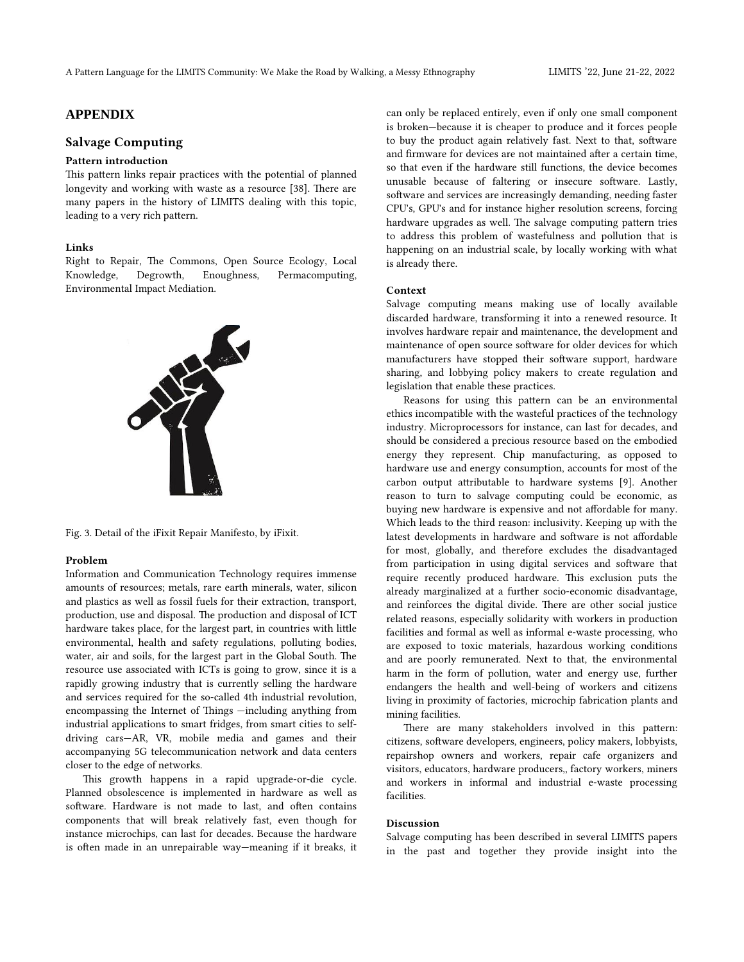# **APPENDIX**

# **Salvage Computing**

### **Pattern introduction**

This pattern links repair practices with the potential of planned longevity and working with waste as a resource [38]. There are many papers in the history of LIMITS dealing with this topic, leading to a very rich pattern.

### **Links**

Right to Repair, The Commons, Open Source Ecology, Local Knowledge, Degrowth, Enoughness, Permacomputing, Environmental Impact Mediation.



Fig. 3. Detail of the iFixit Repair Manifesto, by iFixit.

#### **Problem**

Information and Communication Technology requires immense amounts of resources; metals, rare earth minerals, water, silicon and plastics as well as fossil fuels for their extraction, transport, production, use and disposal. The production and disposal of ICT hardware takes place, for the largest part, in countries with little environmental, health and safety regulations, polluting bodies, water, air and soils, for the largest part in the Global South. The resource use associated with ICTs is going to grow, since it is a rapidly growing industry that is currently selling the hardware and services required for the so-called 4th industrial revolution, encompassing the Internet of Things —including anything from industrial applications to smart fridges, from smart cities to selfdriving cars—AR, VR, mobile media and games and their accompanying 5G telecommunication network and data centers closer to the edge of networks.

This growth happens in a rapid upgrade-or-die cycle. Planned obsolescence is implemented in hardware as well as software. Hardware is not made to last, and often contains components that will break relatively fast, even though for instance microchips, can last for decades. Because the hardware is often made in an unrepairable way—meaning if it breaks, it can only be replaced entirely, even if only one small component is broken—because it is cheaper to produce and it forces people to buy the product again relatively fast. Next to that, software and firmware for devices are not maintained after a certain time, so that even if the hardware still functions, the device becomes unusable because of faltering or insecure software. Lastly, software and services are increasingly demanding, needing faster CPU's, GPU's and for instance higher resolution screens, forcing hardware upgrades as well. The salvage computing pattern tries to address this problem of wastefulness and pollution that is happening on an industrial scale, by locally working with what is already there.

#### **Context**

Salvage computing means making use of locally available discarded hardware, transforming it into a renewed resource. It involves hardware repair and maintenance, the development and maintenance of open source software for older devices for which manufacturers have stopped their software support, hardware sharing, and lobbying policy makers to create regulation and legislation that enable these practices.

Reasons for using this pattern can be an environmental ethics incompatible with the wasteful practices of the technology industry. Microprocessors for instance, can last for decades, and should be considered a precious resource based on the embodied energy they represent. Chip manufacturing, as opposed to hardware use and energy consumption, accounts for most of the carbon output attributable to hardware systems [9]. Another reason to turn to salvage computing could be economic, as buying new hardware is expensive and not affordable for many. Which leads to the third reason: inclusivity. Keeping up with the latest developments in hardware and software is not affordable for most, globally, and therefore excludes the disadvantaged from participation in using digital services and software that require recently produced hardware. This exclusion puts the already marginalized at a further socio-economic disadvantage, and reinforces the digital divide. There are other social justice related reasons, especially solidarity with workers in production facilities and formal as well as informal e-waste processing, who are exposed to toxic materials, hazardous working conditions and are poorly remunerated. Next to that, the environmental harm in the form of pollution, water and energy use, further endangers the health and well-being of workers and citizens living in proximity of factories, microchip fabrication plants and mining facilities.

There are many stakeholders involved in this pattern: citizens, software developers, engineers, policy makers, lobbyists, repairshop owners and workers, repair cafe organizers and visitors, educators, hardware producers,, factory workers, miners and workers in informal and industrial e-waste processing facilities.

#### **Discussion**

Salvage computing has been described in several LIMITS papers in the past and together they provide insight into the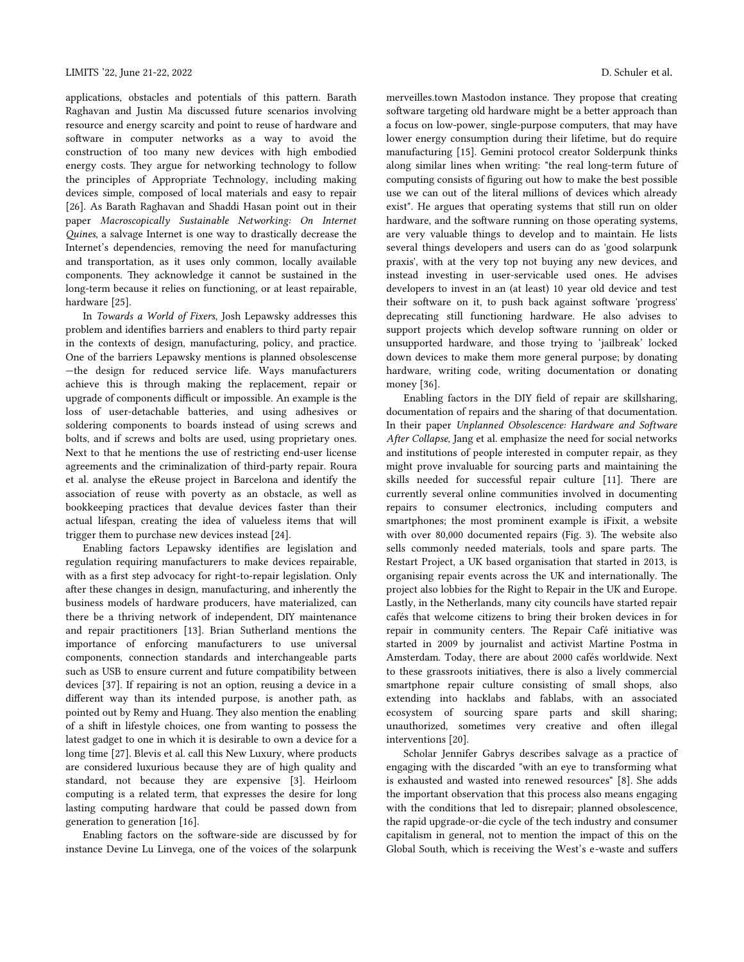applications, obstacles and potentials of this pattern. Barath Raghavan and Justin Ma discussed future scenarios involving resource and energy scarcity and point to reuse of hardware and software in computer networks as a way to avoid the construction of too many new devices with high embodied energy costs. They argue for networking technology to follow the principles of Appropriate Technology, including making devices simple, composed of local materials and easy to repair [26]. As Barath Raghavan and Shaddi Hasan point out in their paper *Macroscopically Sustainable Networking: On Internet Quines*, a salvage Internet is one way to drastically decrease the Internet's dependencies, removing the need for manufacturing and transportation, as it uses only common, locally available components. They acknowledge it cannot be sustained in the long-term because it relies on functioning, or at least repairable, hardware [25].

In *Towards a World of Fixers*, Josh Lepawsky addresses this problem and identifies barriers and enablers to third party repair in the contexts of design, manufacturing, policy, and practice. One of the barriers Lepawsky mentions is planned obsolescense —the design for reduced service life. Ways manufacturers achieve this is through making the replacement, repair or upgrade of components difficult or impossible. An example is the loss of user-detachable batteries, and using adhesives or soldering components to boards instead of using screws and bolts, and if screws and bolts are used, using proprietary ones. Next to that he mentions the use of restricting end-user license agreements and the criminalization of third-party repair. Roura et al. analyse the eReuse project in Barcelona and identify the association of reuse with poverty as an obstacle, as well as bookkeeping practices that devalue devices faster than their actual lifespan, creating the idea of valueless items that will trigger them to purchase new devices instead [24].

Enabling factors Lepawsky identifies are legislation and regulation requiring manufacturers to make devices repairable, with as a first step advocacy for right-to-repair legislation. Only after these changes in design, manufacturing, and inherently the business models of hardware producers, have materialized, can there be a thriving network of independent, DIY maintenance and repair practitioners [13]. Brian Sutherland mentions the importance of enforcing manufacturers to use universal components, connection standards and interchangeable parts such as USB to ensure current and future compatibility between devices [37]. If repairing is not an option, reusing a device in a different way than its intended purpose, is another path, as pointed out by Remy and Huang. They also mention the enabling of a shift in lifestyle choices, one from wanting to possess the latest gadget to one in which it is desirable to own a device for a long time [27]. Blevis et al. call this New Luxury, where products are considered luxurious because they are of high quality and standard, not because they are expensive [3]. Heirloom computing is a related term, that expresses the desire for long lasting computing hardware that could be passed down from generation to generation [16].

Enabling factors on the software-side are discussed by for instance Devine Lu Linvega, one of the voices of the solarpunk merveilles.town Mastodon instance. They propose that creating software targeting old hardware might be a better approach than a focus on low-power, single-purpose computers, that may have lower energy consumption during their lifetime, but do require manufacturing [15]. Gemini protocol creator Solderpunk thinks along similar lines when writing: "the real long-term future of computing consists of figuring out how to make the best possible use we can out of the literal millions of devices which already exist". He argues that operating systems that still run on older hardware, and the software running on those operating systems, are very valuable things to develop and to maintain. He lists several things developers and users can do as 'good solarpunk praxis', with at the very top not buying any new devices, and instead investing in user-servicable used ones. He advises developers to invest in an (at least) 10 year old device and test their software on it, to push back against software 'progress' deprecating still functioning hardware. He also advises to support projects which develop software running on older or unsupported hardware, and those trying to 'jailbreak' locked down devices to make them more general purpose; by donating hardware, writing code, writing documentation or donating money [36].

Enabling factors in the DIY field of repair are skillsharing, documentation of repairs and the sharing of that documentation. In their paper *Unplanned Obsolescence: Hardware and Software After Collapse*, Jang et al. emphasize the need for social networks and institutions of people interested in computer repair, as they might prove invaluable for sourcing parts and maintaining the skills needed for successful repair culture [11]. There are currently several online communities involved in documenting repairs to consumer electronics, including computers and smartphones; the most prominent example is iFixit, a website with over 80,000 documented repairs (Fig. 3). The website also sells commonly needed materials, tools and spare parts. The Restart Project, a UK based organisation that started in 2013, is organising repair events across the UK and internationally. The project also lobbies for the Right to Repair in the UK and Europe. Lastly, in the Netherlands, many city councils have started repair cafés that welcome citizens to bring their broken devices in for repair in community centers. The Repair Café initiative was started in 2009 by journalist and activist Martine Postma in Amsterdam. Today, there are about 2000 cafés worldwide. Next to these grassroots initiatives, there is also a lively commercial smartphone repair culture consisting of small shops, also extending into hacklabs and fablabs, with an associated ecosystem of sourcing spare parts and skill sharing; unauthorized, sometimes very creative and often illegal interventions [20].

Scholar Jennifer Gabrys describes salvage as a practice of engaging with the discarded "with an eye to transforming what is exhausted and wasted into renewed resources" [8]. She adds the important observation that this process also means engaging with the conditions that led to disrepair; planned obsolescence, the rapid upgrade-or-die cycle of the tech industry and consumer capitalism in general, not to mention the impact of this on the Global South, which is receiving the West's e-waste and suffers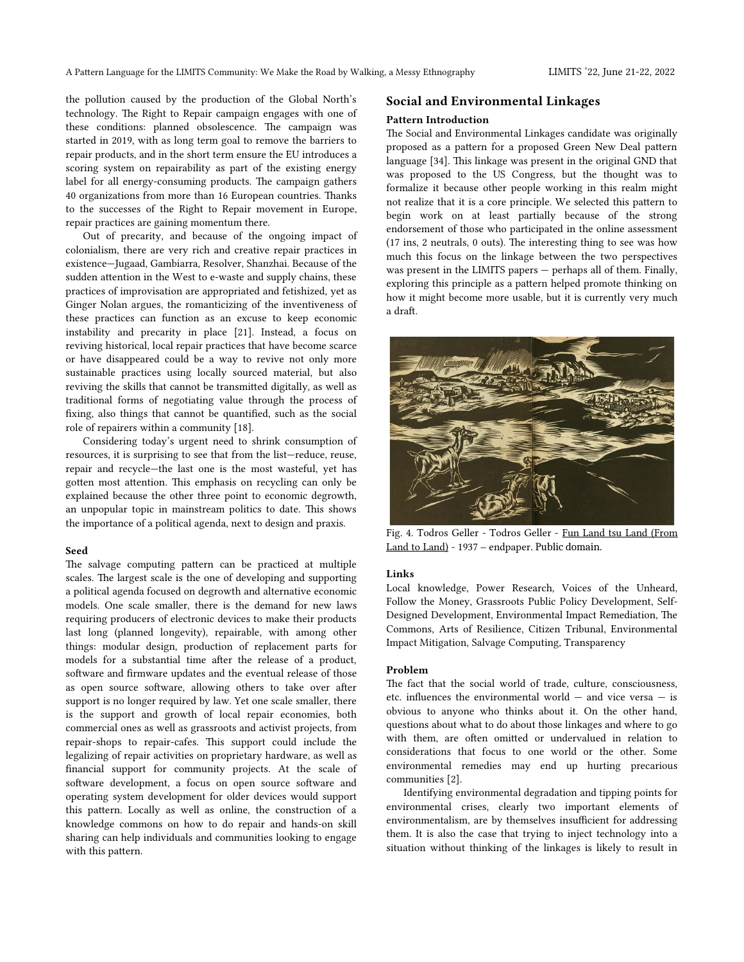the pollution caused by the production of the Global North's technology. The Right to Repair campaign engages with one of these conditions: planned obsolescence. The campaign was started in 2019, with as long term goal to remove the barriers to repair products, and in the short term ensure the EU introduces a scoring system on repairability as part of the existing energy label for all energy-consuming products. The campaign gathers 40 organizations from more than 16 European countries. Thanks to the successes of the Right to Repair movement in Europe, repair practices are gaining momentum there.

Out of precarity, and because of the ongoing impact of colonialism, there are very rich and creative repair practices in existence—Jugaad, Gambiarra, Resolver, Shanzhai. Because of the sudden attention in the West to e-waste and supply chains, these practices of improvisation are appropriated and fetishized, yet as Ginger Nolan argues, the romanticizing of the inventiveness of these practices can function as an excuse to keep economic instability and precarity in place [21]. Instead, a focus on reviving historical, local repair practices that have become scarce or have disappeared could be a way to revive not only more sustainable practices using locally sourced material, but also reviving the skills that cannot be transmitted digitally, as well as traditional forms of negotiating value through the process of fixing, also things that cannot be quantified, such as the social role of repairers within a community [18].

Considering today's urgent need to shrink consumption of resources, it is surprising to see that from the list—reduce, reuse, repair and recycle—the last one is the most wasteful, yet has gotten most attention. This emphasis on recycling can only be explained because the other three point to economic degrowth, an unpopular topic in mainstream politics to date. This shows the importance of a political agenda, next to design and praxis.

#### **Seed**

The salvage computing pattern can be practiced at multiple scales. The largest scale is the one of developing and supporting a political agenda focused on degrowth and alternative economic models. One scale smaller, there is the demand for new laws requiring producers of electronic devices to make their products last long (planned longevity), repairable, with among other things: modular design, production of replacement parts for models for a substantial time after the release of a product, software and firmware updates and the eventual release of those as open source software, allowing others to take over after support is no longer required by law. Yet one scale smaller, there is the support and growth of local repair economies, both commercial ones as well as grassroots and activist projects, from repair-shops to repair-cafes. This support could include the legalizing of repair activities on proprietary hardware, as well as financial support for community projects. At the scale of software development, a focus on open source software and operating system development for older devices would support this pattern. Locally as well as online, the construction of a knowledge commons on how to do repair and hands-on skill sharing can help individuals and communities looking to engage with this pattern.

# **Social and Environmental Linkages**

## **Pattern Introduction**

The Social and Environmental Linkages candidate was originally proposed as a pattern for a proposed Green New Deal pattern language [34]. This linkage was present in the original GND that was proposed to the US Congress, but the thought was to formalize it because other people working in this realm might not realize that it is a core principle. We selected this pattern to begin work on at least partially because of the strong endorsement of those who participated in the online assessment (17 ins, 2 neutrals, 0 outs). The interesting thing to see was how much this focus on the linkage between the two perspectives was present in the LIMITS papers — perhaps all of them. Finally, exploring this principle as a pattern helped promote thinking on how it might become more usable, but it is currently very much a draft.



Fig. 4. Todros Geller - Todros Geller - [Fun Land tsu Land \(From](https://archive.org/details/funlandtsuland00gell) [Land to Land\)](https://archive.org/details/funlandtsuland00gell) - 1937 – endpaper. Public domain.

### **Links**

Local knowledge, Power Research, Voices of the Unheard, Follow the Money, Grassroots Public Policy Development, Self-Designed Development, Environmental Impact Remediation, The Commons, Arts of Resilience, Citizen Tribunal, Environmental Impact Mitigation, Salvage Computing, Transparency

### **Problem**

The fact that the social world of trade, culture, consciousness, etc. influences the environmental world — and vice versa — is obvious to anyone who thinks about it. On the other hand, questions about what to do about those linkages and where to go with them, are often omitted or undervalued in relation to considerations that focus to one world or the other. Some environmental remedies may end up hurting precarious communities [2].

Identifying environmental degradation and tipping points for environmental crises, clearly two important elements of environmentalism, are by themselves insufficient for addressing them. It is also the case that trying to inject technology into a situation without thinking of the linkages is likely to result in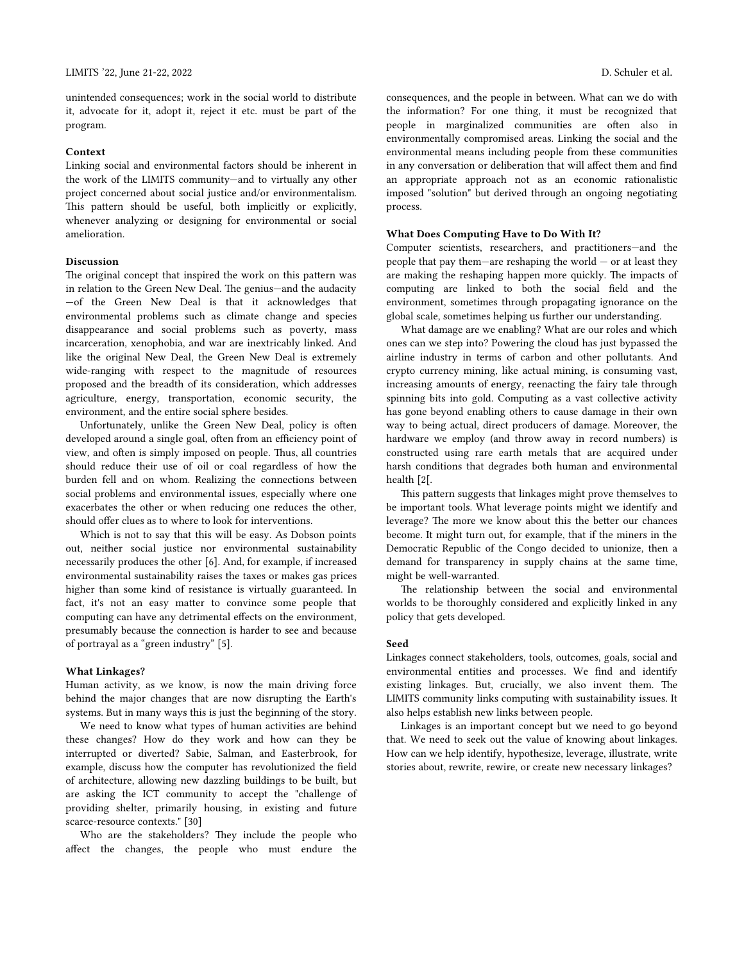unintended consequences; work in the social world to distribute it, advocate for it, adopt it, reject it etc. must be part of the program.

#### **Context**

Linking social and environmental factors should be inherent in the work of the LIMITS community—and to virtually any other project concerned about social justice and/or environmentalism. This pattern should be useful, both implicitly or explicitly, whenever analyzing or designing for environmental or social amelioration.

#### **Discussion**

The original concept that inspired the work on this pattern was in relation to the Green New Deal. The genius—and the audacity —of the Green New Deal is that it acknowledges that environmental problems such as climate change and species disappearance and social problems such as poverty, mass incarceration, xenophobia, and war are inextricably linked. And like the original New Deal, the Green New Deal is extremely wide-ranging with respect to the magnitude of resources proposed and the breadth of its consideration, which addresses agriculture, energy, transportation, economic security, the environment, and the entire social sphere besides.

Unfortunately, unlike the Green New Deal, policy is often developed around a single goal, often from an efficiency point of view, and often is simply imposed on people. Thus, all countries should reduce their use of oil or coal regardless of how the burden fell and on whom. Realizing the connections between social problems and environmental issues, especially where one exacerbates the other or when reducing one reduces the other, should offer clues as to where to look for interventions.

Which is not to say that this will be easy. As Dobson points out, neither social justice nor environmental sustainability necessarily produces the other [6]. And, for example, if increased environmental sustainability raises the taxes or makes gas prices higher than some kind of resistance is virtually guaranteed. In fact, it's not an easy matter to convince some people that computing can have any detrimental effects on the environment, presumably because the connection is harder to see and because of portrayal as a "green industry" [5].

#### **What Linkages?**

Human activity, as we know, is now the main driving force behind the major changes that are now disrupting the Earth's systems. But in many ways this is just the beginning of the story.

We need to know what types of human activities are behind these changes? How do they work and how can they be interrupted or diverted? Sabie, Salman, and Easterbrook, for example, discuss how the computer has revolutionized the field of architecture, allowing new dazzling buildings to be built, but are asking the ICT community to accept the "challenge of providing shelter, primarily housing, in existing and future scarce-resource contexts." [30]

Who are the stakeholders? They include the people who affect the changes, the people who must endure the consequences, and the people in between. What can we do with the information? For one thing, it must be recognized that people in marginalized communities are often also in environmentally compromised areas. Linking the social and the environmental means including people from these communities in any conversation or deliberation that will affect them and find an appropriate approach not as an economic rationalistic imposed "solution" but derived through an ongoing negotiating process.

### **What Does Computing Have to Do With It?**

Computer scientists, researchers, and practitioners—and the people that pay them—are reshaping the world — or at least they are making the reshaping happen more quickly. The impacts of computing are linked to both the social field and the environment, sometimes through propagating ignorance on the global scale, sometimes helping us further our understanding.

What damage are we enabling? What are our roles and which ones can we step into? Powering the cloud has just bypassed the airline industry in terms of carbon and other pollutants. And crypto currency mining, like actual mining, is consuming vast, increasing amounts of energy, reenacting the fairy tale through spinning bits into gold. Computing as a vast collective activity has gone beyond enabling others to cause damage in their own way to being actual, direct producers of damage. Moreover, the hardware we employ (and throw away in record numbers) is constructed using rare earth metals that are acquired under harsh conditions that degrades both human and environmental health [2[.

This pattern suggests that linkages might prove themselves to be important tools. What leverage points might we identify and leverage? The more we know about this the better our chances become. It might turn out, for example, that if the miners in the [Democratic Republic of the Congo](https://en.wikipedia.org/wiki/Democratic_Republic_of_the_Congo) decided to unionize, then a demand for transparency in supply chains at the same time, might be well-warranted.

The relationship between the social and environmental worlds to be thoroughly considered and explicitly linked in any policy that gets developed.

#### **Seed**

Linkages connect stakeholders, tools, outcomes, goals, social and environmental entities and processes. We find and identify existing linkages. But, crucially, we also invent them. The LIMITS community links computing with sustainability issues. It also helps establish new links between people.

Linkages is an important concept but we need to go beyond that. We need to seek out the value of knowing about linkages. How can we help identify, hypothesize, leverage, illustrate, write stories about, rewrite, rewire, or create new necessary linkages?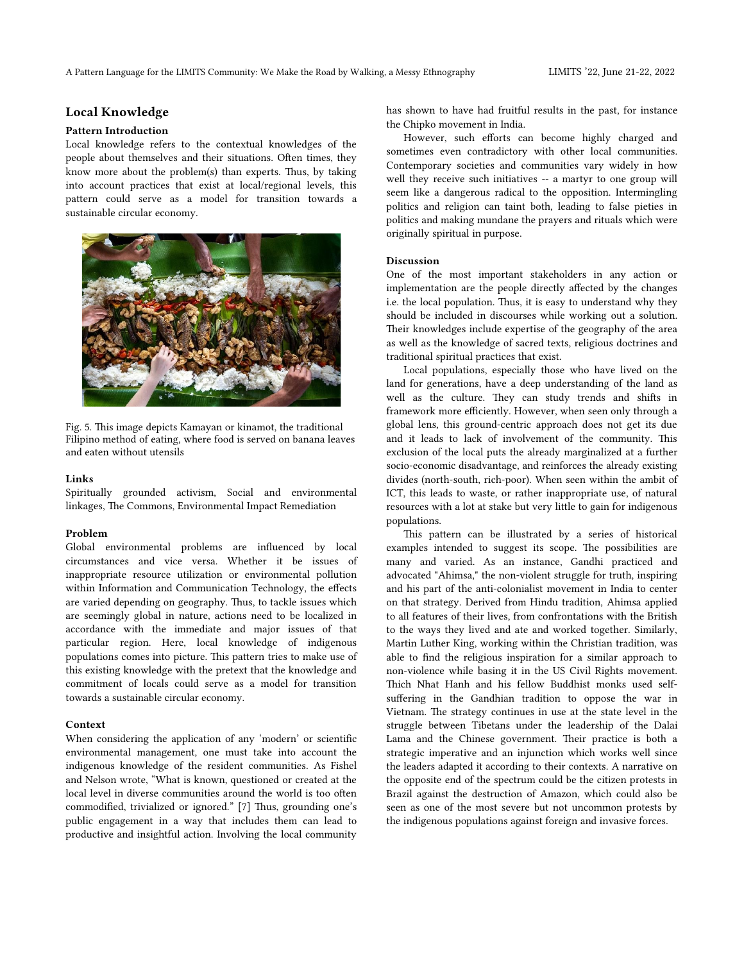# **Local Knowledge**

### **Pattern Introduction**

Local knowledge refers to the contextual knowledges of the people about themselves and their situations. Often times, they know more about the problem(s) than experts. Thus, by taking into account practices that exist at local/regional levels, this pattern could serve as a model for transition towards a sustainable circular economy.



Fig. 5. This image depicts Kamayan or kinamot, the traditional Filipino method of eating, where food is served on banana leaves and eaten without utensils

### **Links**

Spiritually grounded activism, Social and environmental linkages, The Commons, Environmental Impact Remediation

#### **Problem**

Global environmental problems are influenced by local circumstances and vice versa. Whether it be issues of inappropriate resource utilization or environmental pollution within Information and Communication Technology, the effects are varied depending on geography. Thus, to tackle issues which are seemingly global in nature, actions need to be localized in accordance with the immediate and major issues of that particular region. Here, local knowledge of indigenous populations comes into picture. This pattern tries to make use of this existing knowledge with the pretext that the knowledge and commitment of locals could serve as a model for transition towards a sustainable circular economy.

#### **Context**

When considering the application of any 'modern' or scientific environmental management, one must take into account the indigenous knowledge of the resident communities. As Fishel and Nelson wrote, "What is known, questioned or created at the local level in diverse communities around the world is too often commodified, trivialized or ignored." [7] Thus, grounding one's public engagement in a way that includes them can lead to productive and insightful action. Involving the local community

has shown to have had fruitful results in the past, for instance the Chipko movement in India.

However, such efforts can become highly charged and sometimes even contradictory with other local communities. Contemporary societies and communities vary widely in how well they receive such initiatives -- a martyr to one group will seem like a dangerous radical to the opposition. Intermingling politics and religion can taint both, leading to false pieties in politics and making mundane the prayers and rituals which were originally spiritual in purpose.

### **Discussion**

One of the most important stakeholders in any action or implementation are the people directly affected by the changes i.e. the local population. Thus, it is easy to understand why they should be included in discourses while working out a solution. Their knowledges include expertise of the geography of the area as well as the knowledge of sacred texts, religious doctrines and traditional spiritual practices that exist.

Local populations, especially those who have lived on the land for generations, have a deep understanding of the land as well as the culture. They can study trends and shifts in framework more efficiently. However, when seen only through a global lens, this ground-centric approach does not get its due and it leads to lack of involvement of the community. This exclusion of the local puts the already marginalized at a further socio-economic disadvantage, and reinforces the already existing divides (north-south, rich-poor). When seen within the ambit of ICT, this leads to waste, or rather inappropriate use, of natural resources with a lot at stake but very little to gain for indigenous populations.

This pattern can be illustrated by a series of historical examples intended to suggest its scope. The possibilities are many and varied. As an instance, Gandhi practiced and advocated "Ahimsa," the non-violent struggle for truth, inspiring and his part of the anti-colonialist movement in India to center on that strategy. Derived from Hindu tradition, Ahimsa applied to all features of their lives, from confrontations with the British to the ways they lived and ate and worked together. Similarly, Martin Luther King, working within the Christian tradition, was able to find the religious inspiration for a similar approach to non-violence while basing it in the US Civil Rights movement. Thich Nhat Hanh and his fellow Buddhist monks used selfsuffering in the Gandhian tradition to oppose the war in Vietnam. The strategy continues in use at the state level in the struggle between Tibetans under the leadership of the Dalai Lama and the Chinese government. Their practice is both a strategic imperative and an injunction which works well since the leaders adapted it according to their contexts. A narrative on the opposite end of the spectrum could be the citizen protests in Brazil against the destruction of Amazon, which could also be seen as one of the most severe but not uncommon protests by the indigenous populations against foreign and invasive forces.